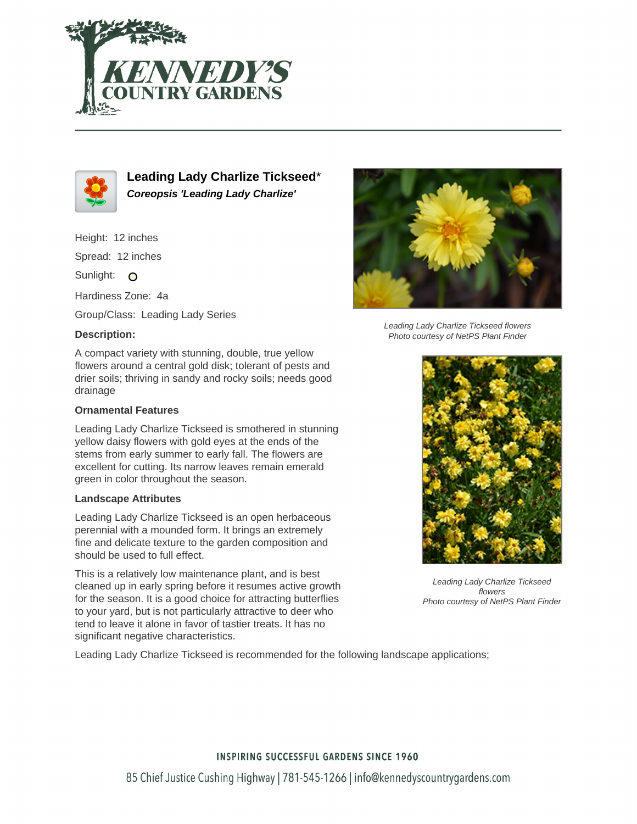



**Leading Lady Charlize Tickseed**\* **Coreopsis 'Leading Lady Charlize'**

Height: 12 inches

Spread: 12 inches

Sunlight: O

Hardiness Zone: 4a

Group/Class: Leading Lady Series

## **Description:**

A compact variety with stunning, double, true yellow flowers around a central gold disk; tolerant of pests and drier soils; thriving in sandy and rocky soils; needs good drainage

## **Ornamental Features**

Leading Lady Charlize Tickseed is smothered in stunning yellow daisy flowers with gold eyes at the ends of the stems from early summer to early fall. The flowers are excellent for cutting. Its narrow leaves remain emerald green in color throughout the season.

#### **Landscape Attributes**

Leading Lady Charlize Tickseed is an open herbaceous perennial with a mounded form. It brings an extremely fine and delicate texture to the garden composition and should be used to full effect.

This is a relatively low maintenance plant, and is best cleaned up in early spring before it resumes active growth for the season. It is a good choice for attracting butterflies to your yard, but is not particularly attractive to deer who tend to leave it alone in favor of tastier treats. It has no significant negative characteristics.



Leading Lady Charlize Tickseed flowers Photo courtesy of NetPS Plant Finder



Leading Lady Charlize Tickseed flowers Photo courtesy of NetPS Plant Finder

Leading Lady Charlize Tickseed is recommended for the following landscape applications;

## **INSPIRING SUCCESSFUL GARDENS SINCE 1960**

85 Chief Justice Cushing Highway | 781-545-1266 | info@kennedyscountrygardens.com